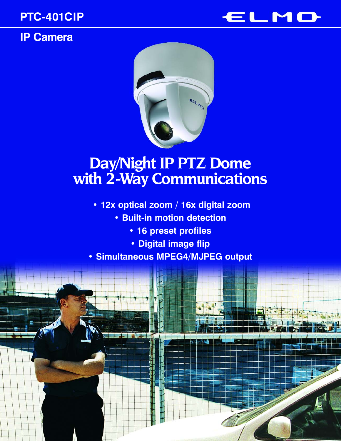# **IP Camera**





# **Day/Night IP PTZ Dome with 2-Way Communications**

- **12x optical zoom / 16x digital zoom**
	- **Built-in motion detection**
		- **16 preset profiles**
		- **Digital image flip**
- **Simultaneous MPEG4/MJPEG output**